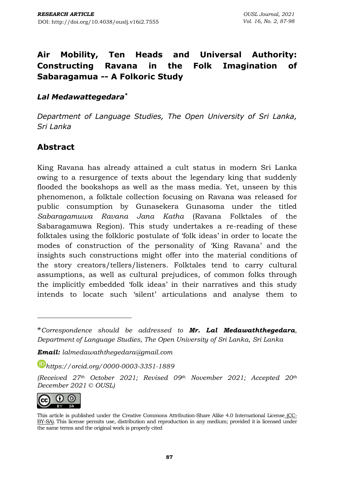# **Air Mobility, Ten Heads and Universal Authority: Constructing Ravana in the Folk Imagination of Sabaragamua -- A Folkoric Study**

### *Lal Medawattegedara\**

*Department of Language Studies, The Open University of Sri Lanka, Sri Lanka*

## **Abstract**

King Ravana has already attained a cult status in modern Sri Lanka owing to a resurgence of texts about the legendary king that suddenly flooded the bookshops as well as the mass media. Yet, unseen by this phenomenon, a folktale collection focusing on Ravana was released for public consumption by Gunasekera Gunasoma under the titled *Sabaragamuwa Ravana Jana Katha* (Ravana Folktales of the Sabaragamuwa Region). This study undertakes a re-reading of these folktales using the folkloric postulate of 'folk ideas' in order to locate the modes of construction of the personality of 'King Ravana' and the insights such constructions might offer into the material conditions of the story creators/tellers/listeners. Folktales tend to carry cultural assumptions, as well as cultural prejudices, of common folks through the implicitly embedded 'folk ideas' in their narratives and this study intends to locate such 'silent' articulations and analyse them to

*Email: [lalmedawaththegedara@gmail.com](mailto:lalmedawaththegedara@gmail.com)*

*[https://orcid.org/0](https://orcid.org/)000-0003-3351-1889*

*(Received 27th October 2021; Revised 09th November 2021; Accepted 20th December 2021 © OUSL)*



This article is published under the Creative Commons [Attribution-Share](http://creativecommons.org/licenses/by-sa/4.0/) Alike 4.0 International License (CC-BY-SA). This license permits use, distribution and reproduction in any medium; provided it is licensed under the same terms and the original work is properly cited

<sup>\*</sup>*Correspondence should be addressed to Mr. Lal Medawaththegedara, Department of Language Studies, The Open University of Sri Lanka, Sri Lanka*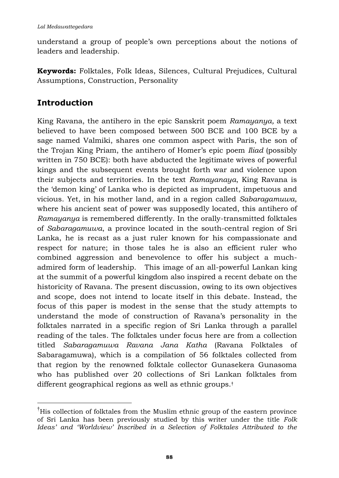understand a group of people's own perceptions about the notions of leaders and leadership.

**Keywords:** Folktales, Folk Ideas, Silences, Cultural Prejudices, Cultural Assumptions, Construction, Personality

# **Introduction**

King Ravana, the antihero in the epic Sanskrit poem *Ramayanya,* a text believed to have been composed between 500 BCE and 100 BCE by a sage named Valmiki, shares one common aspect with Paris, the son of the Trojan King Priam, the antihero of Homer's epic poem *Iliad* (possibly written in 750 BCE): both have abducted the legitimate wives of powerful kings and the subsequent events brought forth war and violence upon their subjects and territories. In the text *Ramayanaya*, King Ravana is the 'demon king' of Lanka who is depicted as imprudent, impetuous and vicious. Yet, in his mother land, and in a region called *Sabaragamuwa*, where his ancient seat of power was supposedly located, this antihero of *Ramayanya* is remembered differently. In the orally-transmitted folktales of *Sabaragamuwa*, a province located in the south-central region of Sri Lanka, he is recast as a just ruler known for his compassionate and respect for nature; in those tales he is also an efficient ruler who combined aggression and benevolence to offer his subject a muchadmired form of leadership. This image of an all-powerful Lankan king at the summit of a powerful kingdom also inspired a recent debate on the historicity of Ravana. The present discussion, owing to its own objectives and scope, does not intend to locate itself in this debate. Instead, the focus of this paper is modest in the sense that the study attempts to understand the mode of construction of Ravana's personality in the folktales narrated in a specific region of Sri Lanka through a parallel reading of the tales. The folktales under focus here are from a collection titled *Sabaragamuwa Ravana Jana Katha* (Ravana Folktales of Sabaragamuwa), which is a compilation of 56 folktales collected from that region by the renowned folktale collector Gunasekera Gunasoma who has published over 20 collections of Sri Lankan folktales from different geographical regions as well as ethnic groups.†

<sup>†</sup>His collection of folktales from the Muslim ethnic group of the eastern province of Sri Lanka has been previously studied by this writer under the title *Folk Ideas' and 'Worldview' Inscribed in a Selection of Folktales Attributed to the*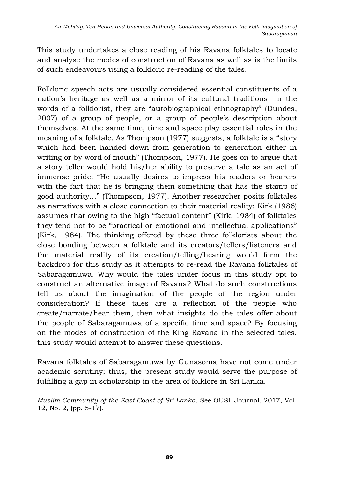This study undertakes a close reading of his Ravana folktales to locate and analyse the modes of construction of Ravana as well as is the limits of such endeavours using a folkloric re-reading of the tales.

Folkloric speech acts are usually considered essential constituents of a nation's heritage as well as a mirror of its cultural traditions—in the words of a folklorist, they are "autobiographical ethnography" (Dundes, 2007) of a group of people, or a group of people's description about themselves. At the same time, time and space play essential roles in the meaning of a folktale. As Thompson (1977) suggests, a folktale is a "story which had been handed down from generation to generation either in writing or by word of mouth" (Thompson, 1977). He goes on to argue that a story teller would hold his/her ability to preserve a tale as an act of immense pride: "He usually desires to impress his readers or hearers with the fact that he is bringing them something that has the stamp of good authority…" (Thompson, 1977). Another researcher posits folktales as narratives with a close connection to their material reality: Kirk (1986) assumes that owing to the high "factual content" (Kirk, 1984) of folktales they tend not to be "practical or emotional and intellectual applications" (Kirk, 1984). The thinking offered by these three folklorists about the close bonding between a folktale and its creators/tellers/listeners and the material reality of its creation/telling/hearing would form the backdrop for this study as it attempts to re-read the Ravana folktales of Sabaragamuwa. Why would the tales under focus in this study opt to construct an alternative image of Ravana? What do such constructions tell us about the imagination of the people of the region under consideration? If these tales are a reflection of the people who create/narrate/hear them, then what insights do the tales offer about the people of Sabaragamuwa of a specific time and space? By focusing on the modes of construction of the King Ravana in the selected tales, this study would attempt to answer these questions.

Ravana folktales of Sabaragamuwa by Gunasoma have not come under academic scrutiny; thus, the present study would serve the purpose of fulfilling a gap in scholarship in the area of folklore in Sri Lanka.

*Muslim Community of the East Coast of Sri Lanka.* See OUSL Journal, 2017, Vol. 12, No. 2, (pp. 5-17).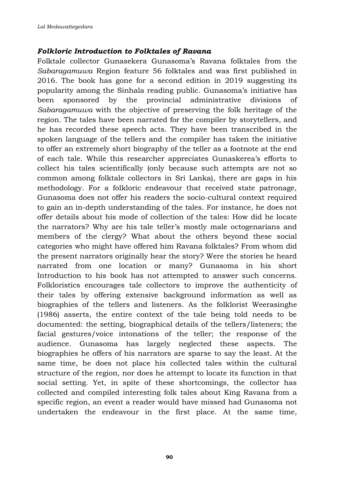#### *Folkloric Introduction to Folktales of Ravana*

Folktale collector Gunasekera Gunasoma's Ravana folktales from the *Sabaragamuwa* Region feature 56 folktales and was first published in 2016. The book has gone for a second edition in 2019 suggesting its popularity among the Sinhala reading public. Gunasoma's initiative has been sponsored by the provincial administrative divisions of *Sabaragamuwa* with the objective of preserving the folk heritage of the region. The tales have been narrated for the compiler by storytellers, and he has recorded these speech acts. They have been transcribed in the spoken language of the tellers and the compiler has taken the initiative to offer an extremely short biography of the teller as a footnote at the end of each tale. While this researcher appreciates Gunaskerea's efforts to collect his tales scientifically (only because such attempts are not so common among folktale collectors in Sri Lanka), there are gaps in his methodology. For a folkloric endeavour that received state patronage, Gunasoma does not offer his readers the socio-cultural context required to gain an in-depth understanding of the tales. For instance, he does not offer details about his mode of collection of the tales: How did he locate the narrators? Why are his tale teller's mostly male octogenarians and members of the clergy? What about the others beyond these social categories who might have offered him Ravana folktales? From whom did the present narrators originally hear the story? Were the stories he heard narrated from one location or many? Gunasoma in his short Introduction to his book has not attempted to answer such concerns. Folkloristics encourages tale collectors to improve the authenticity of their tales by offering extensive background information as well as biographies of the tellers and listeners. As the folklorist Weerasinghe (1986) asserts, the entire context of the tale being told needs to be documented: the setting, biographical details of the tellers/listeners; the facial gestures/voice intonations of the teller; the response of the audience. Gunasoma has largely neglected these aspects. The biographies he offers of his narrators are sparse to say the least. At the same time, he does not place his collected tales within the cultural structure of the region, nor does he attempt to locate its function in that social setting. Yet, in spite of these shortcomings, the collector has collected and compiled interesting folk tales about King Ravana from a specific region, an event a reader would have missed had Gunasoma not undertaken the endeavour in the first place. At the same time,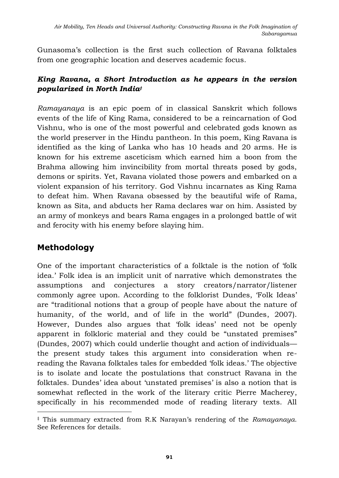Gunasoma's collection is the first such collection of Ravana folktales from one geographic location and deserves academic focus.

### *King Ravana, a Short Introduction as he appears in the version popularized in North India‡*

*Ramayanaya* is an epic poem of in classical Sanskrit which follows events of the life of King Rama, considered to be a reincarnation of God Vishnu, who is one of the most powerful and celebrated gods known as the world preserver in the Hindu pantheon. In this poem, King Ravana is identified as the king of Lanka who has 10 heads and 20 arms. He is known for his extreme asceticism which earned him a boon from the Brahma allowing him invincibility from mortal threats posed by gods, demons or spirits. Yet, Ravana violated those powers and embarked on a violent expansion of his territory. God Vishnu incarnates as King Rama to defeat him. When Ravana obsessed by the beautiful wife of Rama, known as Sita, and abducts her Rama declares war on him. Assisted by an army of monkeys and bears Rama engages in a prolonged battle of wit and ferocity with his enemy before slaying him.

# **Methodology**

One of the important characteristics of a folktale is the notion of 'folk idea.' Folk idea is an implicit unit of narrative which demonstrates the assumptions and conjectures a story creators/narrator/listener commonly agree upon. According to the folklorist Dundes, 'Folk Ideas' are "traditional notions that a group of people have about the nature of humanity, of the world, and of life in the world" (Dundes, 2007). However, Dundes also argues that 'folk ideas' need not be openly apparent in folkloric material and they could be "unstated premises" (Dundes, 2007) which could underlie thought and action of individuals the present study takes this argument into consideration when rereading the Ravana folktales tales for embedded 'folk ideas.' The objective is to isolate and locate the postulations that construct Ravana in the folktales. Dundes' idea about 'unstated premises' is also a notion that is somewhat reflected in the work of the literary critic Pierre Macherey, specifically in his recommended mode of reading literary texts. All

<sup>‡</sup> This summary extracted from R.K Narayan's rendering of the *Ramayanaya*. See References for details.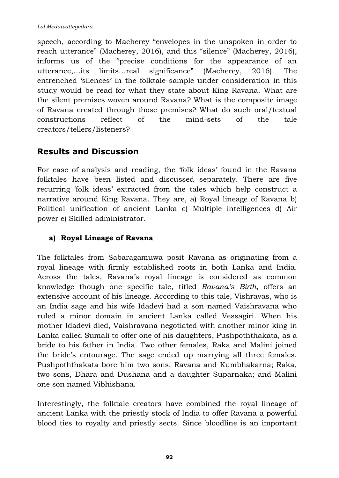speech, according to Macherey "envelopes in the unspoken in order to reach utterance" (Macherey, 2016), and this "silence" (Macherey, 2016), informs us of the "precise conditions for the appearance of an utterance,…its limits…real significance" (Macherey, 2016). The entrenched 'silences' in the folktale sample under consideration in this study would be read for what they state about King Ravana. What are the silent premises woven around Ravana? What is the composite image of Ravana created through those premises? What do such oral/textual constructions reflect of the mind-sets of the tale creators/tellers/listeners?

## **Results and Discussion**

For ease of analysis and reading, the 'folk ideas' found in the Ravana folktales have been listed and discussed separately. There are five recurring 'folk ideas' extracted from the tales which help construct a narrative around King Ravana. They are, a) Royal lineage of Ravana b) Political unification of ancient Lanka c) Multiple intelligences d) Air power e) Skilled administrator.

#### **a) Royal Lineage of Ravana**

The folktales from Sabaragamuwa posit Ravana as originating from a royal lineage with firmly established roots in both Lanka and India. Across the tales, Ravana's royal lineage is considered as common knowledge though one specific tale, titled *Ravana's Birth*, offers an extensive account of his lineage. According to this tale, Vishravas, who is an India sage and his wife Idadevi had a son named Vaishravana who ruled a minor domain in ancient Lanka called Vessagiri. When his mother Idadevi died, Vaishravana negotiated with another minor king in Lanka called Sumali to offer one of his daughters, Pushpoththakata, as a bride to his father in India. Two other females, Raka and Malini joined the bride's entourage. The sage ended up marrying all three females. Pushpoththakata bore him two sons, Ravana and Kumbhakarna; Raka, two sons, Dhara and Dushana and a daughter Suparnaka; and Malini one son named Vibhishana.

Interestingly, the folktale creators have combined the royal lineage of ancient Lanka with the priestly stock of India to offer Ravana a powerful blood ties to royalty and priestly sects. Since bloodline is an important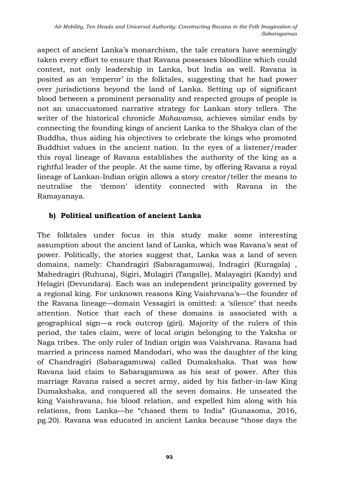aspect of ancient Lanka's monarchism, the tale creators have seemingly taken every effort to ensure that Ravana possesses bloodline which could contest, not only leadership in Lanka, but India as well. Ravana is posited as an 'emperor' in the folktales, suggesting that he had power over jurisdictions beyond the land of Lanka. Setting up of significant blood between a prominent personality and respected groups of people is not an unaccustomed narrative strategy for Lankan story tellers. The writer of the historical chronicle *Mahavamsa,* achieves similar ends by connecting the founding kings of ancient Lanka to the Shakya clan of the Buddha, thus aiding his objectives to celebrate the kings who promoted Buddhist values in the ancient nation. In the eyes of a listener/reader this royal lineage of Ravana establishes the authority of the king as a rightful leader of the people. At the same time, by offering Ravana a royal lineage of Lankan-Indian origin allows a story creator/teller the means to neutralise the 'demon' identity connected with Ravana in the Ramayanaya.

### **b) Political unification of ancient Lanka**

The folktales under focus in this study make some interesting assumption about the ancient land of Lanka, which was Ravana's seat of power. Politically, the stories suggest that, Lanka was a land of seven domains, namely: Chandragiri (Sabaragamuwa), Indragiri (Kuragala) , Mahedragiri (Ruhuna), Sigiri, Mulagiri (Tangalle), Malayagiri (Kandy) and Helagiri (Devundara). Each was an independent principality governed by a regional king. For unknown reasons King Vaishrvana's—the founder of the Ravana lineage—domain Vessagiri is omitted: a 'silence' that needs attention. Notice that each of these domains is associated with a geographical sign—a rock outcrop (giri). Majority of the rulers of this period, the tales claim, were of local origin belonging to the Yaksha or Naga tribes. The only ruler of Indian origin was Vaishrvana. Ravana had married a princess named Mandodari, who was the daughter of the king of Chandragiri (Sabaragamuwa) called Dumakshaka. That was how Ravana laid claim to Sabaragamuwa as his seat of power. After this marriage Ravana raised a secret army, aided by his father-in-law King Dumakshaka, and conquered all the seven domains. He unseated the king Vaishravana, his blood relation, and expelled him along with his relations, from Lanka—he "chased them to India" (Gunasoma, 2016, pg.20). Ravana was educated in ancient Lanka because "those days the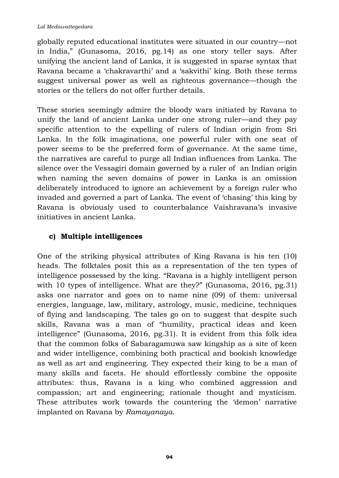globally reputed educational institutes were situated in our country—not in India," (Gunasoma, 2016, pg.14) as one story teller says. After unifying the ancient land of Lanka, it is suggested in sparse syntax that Ravana became a 'chakravarthi' and a 'sakvithi' king. Both these terms suggest universal power as well as righteous governance—though the stories or the tellers do not offer further details.

These stories seemingly admire the bloody wars initiated by Ravana to unify the land of ancient Lanka under one strong ruler—and they pay specific attention to the expelling of rulers of Indian origin from Sri Lanka. In the folk imaginations, one powerful ruler with one seat of power seems to be the preferred form of governance. At the same time, the narratives are careful to purge all Indian influences from Lanka. The silence over the Vessagiri domain governed by a ruler of an Indian origin when naming the seven domains of power in Lanka is an omission deliberately introduced to ignore an achievement by a foreign ruler who invaded and governed a part of Lanka. The event of 'chasing' this king by Ravana is obviously used to counterbalance Vaishravana's invasive initiatives in ancient Lanka.

## **c) Multiple intelligences**

One of the striking physical attributes of King Ravana is his ten (10) heads. The folktales posit this as a representation of the ten types of intelligence possessed by the king. "Ravana is a highly intelligent person with 10 types of intelligence. What are they?" (Gunasoma, 2016, pg.31) asks one narrator and goes on to name nine (09) of them: universal energies, language, law, military, astrology, music, medicine, techniques of flying and landscaping. The tales go on to suggest that despite such skills, Ravana was a man of "humility, practical ideas and keen intelligence" (Gunasoma, 2016, pg.31). It is evident from this folk idea that the common folks of Sabaragamuwa saw kingship as a site of keen and wider intelligence, combining both practical and bookish knowledge as well as art and engineering. They expected their king to be a man of many skills and facets. He should effortlessly combine the opposite attributes: thus, Ravana is a king who combined aggression and compassion; art and engineering; rationale thought and mysticism. These attributes work towards the countering the 'demon' narrative implanted on Ravana by *Ramayanaya*.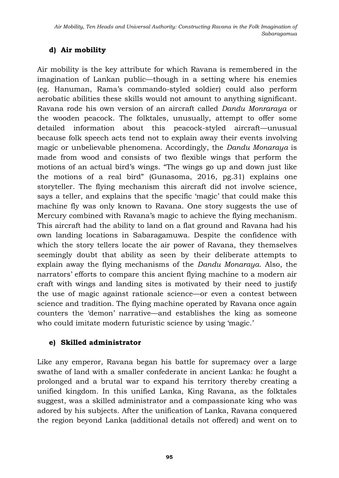## **d) Air mobility**

Air mobility is the key attribute for which Ravana is remembered in the imagination of Lankan public—though in a setting where his enemies (eg. Hanuman, Rama's commando-styled soldier) could also perform aerobatic abilities these skills would not amount to anything significant. Ravana rode his own version of an aircraft called *Dandu Monraraya* or the wooden peacock. The folktales, unusually, attempt to offer some detailed information about this peacock-styled aircraft—unusual because folk speech acts tend not to explain away their events involving magic or unbelievable phenomena. Accordingly, the *Dandu Monaraya* is made from wood and consists of two flexible wings that perform the motions of an actual bird's wings. "The wings go up and down just like the motions of a real bird" (Gunasoma, 2016, pg.31) explains one storyteller. The flying mechanism this aircraft did not involve science, says a teller, and explains that the specific 'magic' that could make this machine fly was only known to Ravana. One story suggests the use of Mercury combined with Ravana's magic to achieve the flying mechanism. This aircraft had the ability to land on a flat ground and Ravana had his own landing locations in Sabaragamuwa. Despite the confidence with which the story tellers locate the air power of Ravana, they themselves seemingly doubt that ability as seen by their deliberate attempts to explain away the flying mechanisms of the *Dandu Monaraya*. Also, the narrators' efforts to compare this ancient flying machine to a modern air craft with wings and landing sites is motivated by their need to justify the use of magic against rationale science—or even a contest between science and tradition. The flying machine operated by Ravana once again counters the 'demon' narrative—and establishes the king as someone who could imitate modern futuristic science by using 'magic.'

### **e) Skilled administrator**

Like any emperor, Ravana began his battle for supremacy over a large swathe of land with a smaller confederate in ancient Lanka: he fought a prolonged and a brutal war to expand his territory thereby creating a unified kingdom. In this unified Lanka, King Ravana, as the folktales suggest, was a skilled administrator and a compassionate king who was adored by his subjects. After the unification of Lanka, Ravana conquered the region beyond Lanka (additional details not offered) and went on to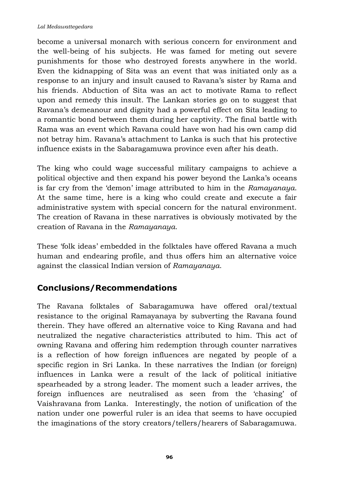become a universal monarch with serious concern for environment and the well-being of his subjects. He was famed for meting out severe punishments for those who destroyed forests anywhere in the world. Even the kidnapping of Sita was an event that was initiated only as a response to an injury and insult caused to Ravana's sister by Rama and his friends. Abduction of Sita was an act to motivate Rama to reflect upon and remedy this insult. The Lankan stories go on to suggest that Ravana's demeanour and dignity had a powerful effect on Sita leading to a romantic bond between them during her captivity. The final battle with Rama was an event which Ravana could have won had his own camp did not betray him. Ravana's attachment to Lanka is such that his protective influence exists in the Sabaragamuwa province even after his death.

The king who could wage successful military campaigns to achieve a political objective and then expand his power beyond the Lanka's oceans is far cry from the 'demon' image attributed to him in the *Ramayanaya*. At the same time, here is a king who could create and execute a fair administrative system with special concern for the natural environment. The creation of Ravana in these narratives is obviously motivated by the creation of Ravana in the *Ramayanaya*.

These 'folk ideas' embedded in the folktales have offered Ravana a much human and endearing profile, and thus offers him an alternative voice against the classical Indian version of *Ramayanaya*.

# **Conclusions/Recommendations**

The Ravana folktales of Sabaragamuwa have offered oral/textual resistance to the original Ramayanaya by subverting the Ravana found therein. They have offered an alternative voice to King Ravana and had neutralized the negative characteristics attributed to him. This act of owning Ravana and offering him redemption through counter narratives is a reflection of how foreign influences are negated by people of a specific region in Sri Lanka. In these narratives the Indian (or foreign) influences in Lanka were a result of the lack of political initiative spearheaded by a strong leader. The moment such a leader arrives, the foreign influences are neutralised as seen from the 'chasing' of Vaishravana from Lanka. Interestingly, the notion of unification of the nation under one powerful ruler is an idea that seems to have occupied the imaginations of the story creators/tellers/hearers of Sabaragamuwa.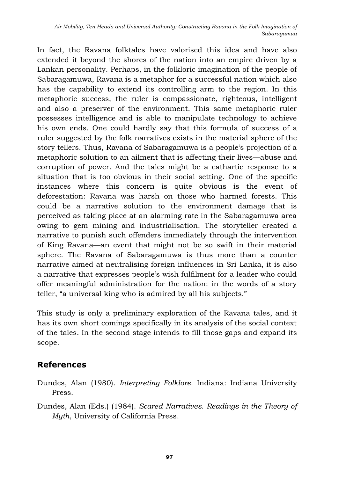In fact, the Ravana folktales have valorised this idea and have also extended it beyond the shores of the nation into an empire driven by a Lankan personality. Perhaps, in the folkloric imagination of the people of Sabaragamuwa, Ravana is a metaphor for a successful nation which also has the capability to extend its controlling arm to the region. In this metaphoric success, the ruler is compassionate, righteous, intelligent and also a preserver of the environment. This same metaphoric ruler possesses intelligence and is able to manipulate technology to achieve his own ends. One could hardly say that this formula of success of a ruler suggested by the folk narratives exists in the material sphere of the story tellers. Thus, Ravana of Sabaragamuwa is a people's projection of a metaphoric solution to an ailment that is affecting their lives—abuse and corruption of power. And the tales might be a cathartic response to a situation that is too obvious in their social setting. One of the specific instances where this concern is quite obvious is the event of deforestation: Ravana was harsh on those who harmed forests. This could be a narrative solution to the environment damage that is perceived as taking place at an alarming rate in the Sabaragamuwa area owing to gem mining and industrialisation. The storyteller created a narrative to punish such offenders immediately through the intervention of King Ravana—an event that might not be so swift in their material sphere. The Ravana of Sabaragamuwa is thus more than a counter narrative aimed at neutralising foreign influences in Sri Lanka, it is also a narrative that expresses people's wish fulfilment for a leader who could offer meaningful administration for the nation: in the words of a story teller, "a universal king who is admired by all his subjects."

This study is only a preliminary exploration of the Ravana tales, and it has its own short comings specifically in its analysis of the social context of the tales. In the second stage intends to fill those gaps and expand its scope.

## **References**

- Dundes, Alan (1980). *Interpreting Folklore.* Indiana: Indiana University Press.
- Dundes, Alan (Eds.) (1984). *Scared Narratives. Readings in the Theory of Myth*, University of California Press.